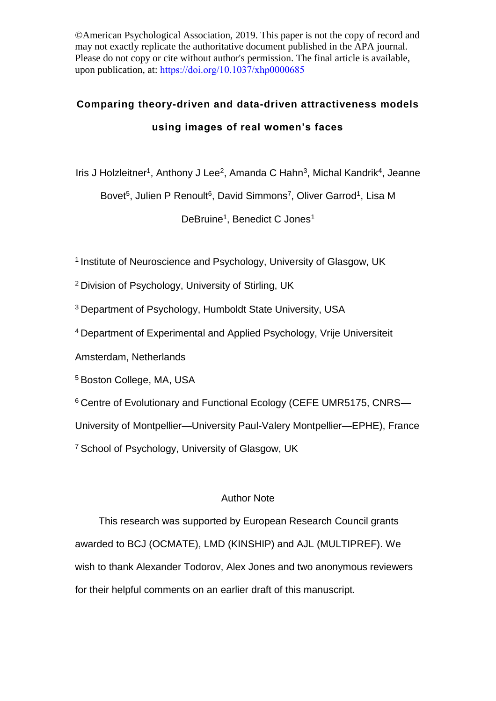©American Psychological Association, 2019. This paper is not the copy of record and may not exactly replicate the authoritative document published in the APA journal. Please do not copy or cite without author's permission. The final article is available, upon publication, at: <https://doi.org/10.1037/xhp0000685>

# **Comparing theory-driven and data-driven attractiveness models using images of real women's faces**

Iris J Holzleitner<sup>1</sup>, Anthony J Lee<sup>2</sup>, Amanda C Hahn<sup>3</sup>, Michal Kandrik<sup>4</sup>, Jeanne

Bovet<sup>5</sup>, Julien P Renoult<sup>6</sup>, David Simmons<sup>7</sup>, Oliver Garrod<sup>1</sup>, Lisa M

DeBruine<sup>1</sup>, Benedict C Jones<sup>1</sup>

<sup>1</sup> Institute of Neuroscience and Psychology, University of Glasgow, UK

<sup>2</sup> Division of Psychology, University of Stirling, UK

<sup>3</sup>Department of Psychology, Humboldt State University, USA

<sup>4</sup>Department of Experimental and Applied Psychology, Vrije Universiteit

Amsterdam, Netherlands

<sup>5</sup> Boston College, MA, USA

<sup>6</sup> Centre of Evolutionary and Functional Ecology (CEFE UMR5175, CNRS-

University of Montpellier—University Paul-Valery Montpellier—EPHE), France

<sup>7</sup> School of Psychology, University of Glasgow, UK

# Author Note

This research was supported by European Research Council grants awarded to BCJ (OCMATE), LMD (KINSHIP) and AJL (MULTIPREF). We wish to thank Alexander Todorov, Alex Jones and two anonymous reviewers for their helpful comments on an earlier draft of this manuscript.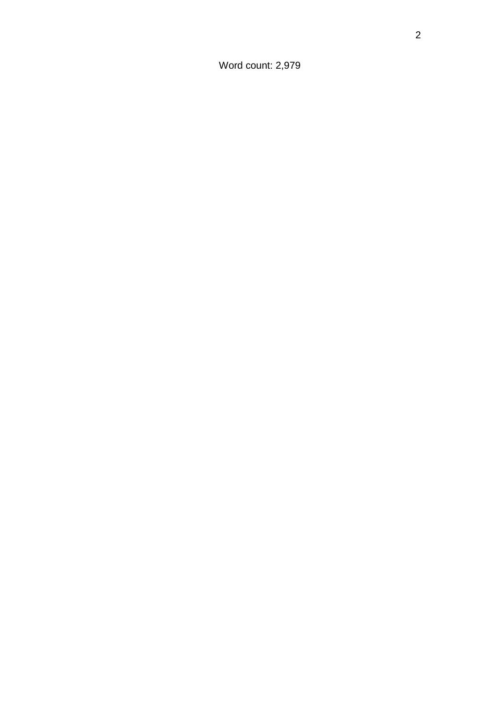Word count: 2,979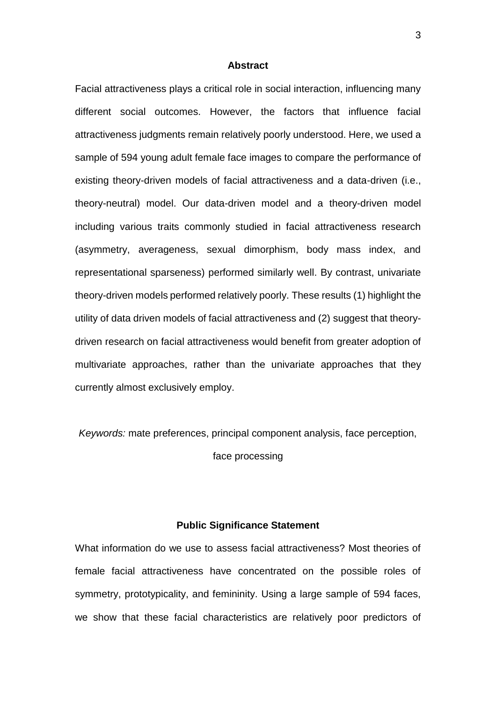#### **Abstract**

Facial attractiveness plays a critical role in social interaction, influencing many different social outcomes. However, the factors that influence facial attractiveness judgments remain relatively poorly understood. Here, we used a sample of 594 young adult female face images to compare the performance of existing theory-driven models of facial attractiveness and a data-driven (i.e., theory-neutral) model. Our data-driven model and a theory-driven model including various traits commonly studied in facial attractiveness research (asymmetry, averageness, sexual dimorphism, body mass index, and representational sparseness) performed similarly well. By contrast, univariate theory-driven models performed relatively poorly. These results (1) highlight the utility of data driven models of facial attractiveness and (2) suggest that theorydriven research on facial attractiveness would benefit from greater adoption of multivariate approaches, rather than the univariate approaches that they currently almost exclusively employ.

*Keywords:* mate preferences, principal component analysis, face perception,

face processing

# **Public Significance Statement**

What information do we use to assess facial attractiveness? Most theories of female facial attractiveness have concentrated on the possible roles of symmetry, prototypicality, and femininity. Using a large sample of 594 faces, we show that these facial characteristics are relatively poor predictors of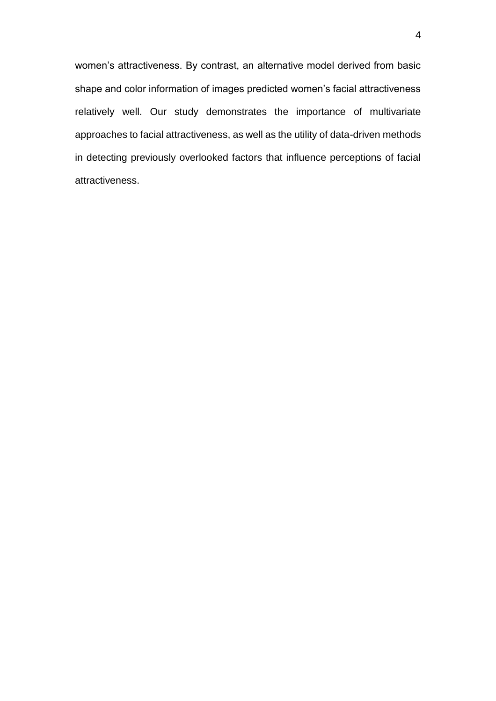women's attractiveness. By contrast, an alternative model derived from basic shape and color information of images predicted women's facial attractiveness relatively well. Our study demonstrates the importance of multivariate approaches to facial attractiveness, as well as the utility of data-driven methods in detecting previously overlooked factors that influence perceptions of facial attractiveness.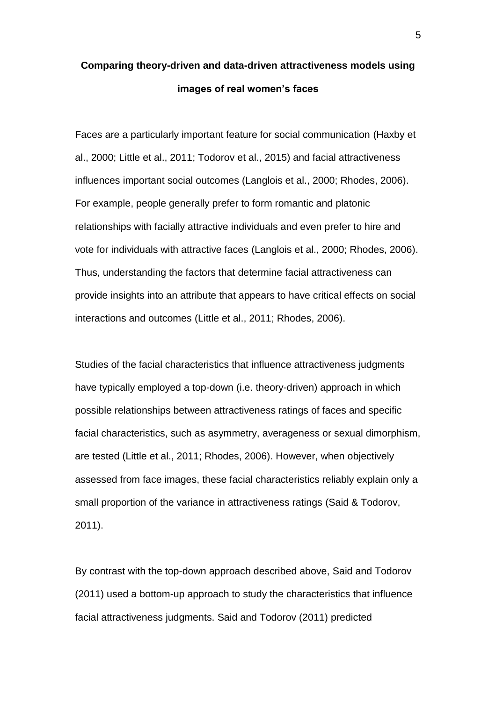# **Comparing theory-driven and data-driven attractiveness models using images of real women's faces**

Faces are a particularly important feature for social communication (Haxby et al., 2000; Little et al., 2011; Todorov et al., 2015) and facial attractiveness influences important social outcomes (Langlois et al., 2000; Rhodes, 2006). For example, people generally prefer to form romantic and platonic relationships with facially attractive individuals and even prefer to hire and vote for individuals with attractive faces (Langlois et al., 2000; Rhodes, 2006). Thus, understanding the factors that determine facial attractiveness can provide insights into an attribute that appears to have critical effects on social interactions and outcomes (Little et al., 2011; Rhodes, 2006).

Studies of the facial characteristics that influence attractiveness judgments have typically employed a top-down (i.e. theory-driven) approach in which possible relationships between attractiveness ratings of faces and specific facial characteristics, such as asymmetry, averageness or sexual dimorphism, are tested (Little et al., 2011; Rhodes, 2006). However, when objectively assessed from face images, these facial characteristics reliably explain only a small proportion of the variance in attractiveness ratings (Said & Todorov, 2011).

By contrast with the top-down approach described above, Said and Todorov (2011) used a bottom-up approach to study the characteristics that influence facial attractiveness judgments. Said and Todorov (2011) predicted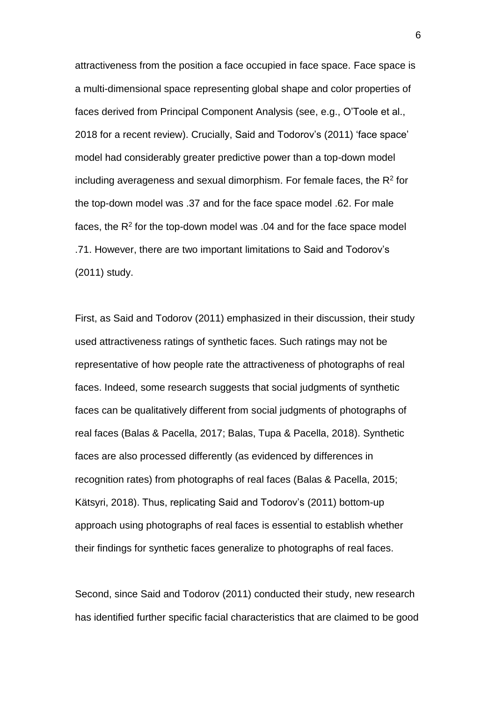attractiveness from the position a face occupied in face space. Face space is a multi-dimensional space representing global shape and color properties of faces derived from Principal Component Analysis (see, e.g., O'Toole et al., 2018 for a recent review). Crucially, Said and Todorov's (2011) 'face space' model had considerably greater predictive power than a top-down model including averageness and sexual dimorphism. For female faces, the  $\mathsf{R}^2$  for the top-down model was .37 and for the face space model .62. For male faces, the R<sup>2</sup> for the top-down model was .04 and for the face space model .71. However, there are two important limitations to Said and Todorov's (2011) study.

First, as Said and Todorov (2011) emphasized in their discussion, their study used attractiveness ratings of synthetic faces. Such ratings may not be representative of how people rate the attractiveness of photographs of real faces. Indeed, some research suggests that social judgments of synthetic faces can be qualitatively different from social judgments of photographs of real faces (Balas & Pacella, 2017; Balas, Tupa & Pacella, 2018). Synthetic faces are also processed differently (as evidenced by differences in recognition rates) from photographs of real faces (Balas & Pacella, 2015; Kätsyri, 2018). Thus, replicating Said and Todorov's (2011) bottom-up approach using photographs of real faces is essential to establish whether their findings for synthetic faces generalize to photographs of real faces.

Second, since Said and Todorov (2011) conducted their study, new research has identified further specific facial characteristics that are claimed to be good

6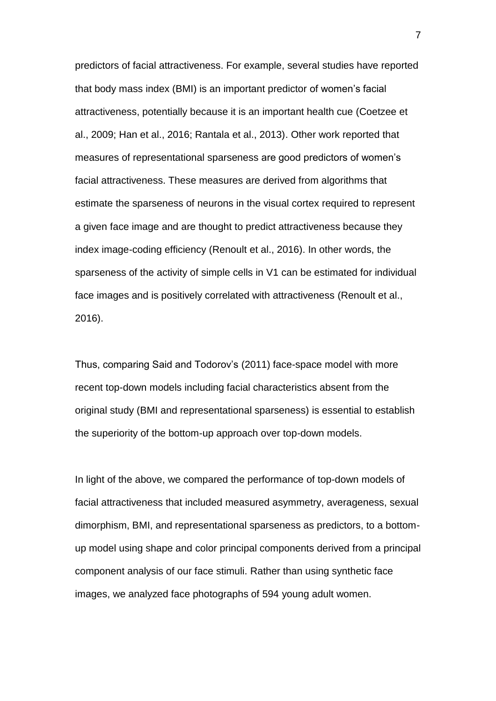predictors of facial attractiveness. For example, several studies have reported that body mass index (BMI) is an important predictor of women's facial attractiveness, potentially because it is an important health cue (Coetzee et al., 2009; Han et al., 2016; Rantala et al., 2013). Other work reported that measures of representational sparseness are good predictors of women's facial attractiveness. These measures are derived from algorithms that estimate the sparseness of neurons in the visual cortex required to represent a given face image and are thought to predict attractiveness because they index image-coding efficiency (Renoult et al., 2016). In other words, the sparseness of the activity of simple cells in V1 can be estimated for individual face images and is positively correlated with attractiveness (Renoult et al., 2016).

Thus, comparing Said and Todorov's (2011) face-space model with more recent top-down models including facial characteristics absent from the original study (BMI and representational sparseness) is essential to establish the superiority of the bottom-up approach over top-down models.

In light of the above, we compared the performance of top-down models of facial attractiveness that included measured asymmetry, averageness, sexual dimorphism, BMI, and representational sparseness as predictors, to a bottomup model using shape and color principal components derived from a principal component analysis of our face stimuli. Rather than using synthetic face images, we analyzed face photographs of 594 young adult women.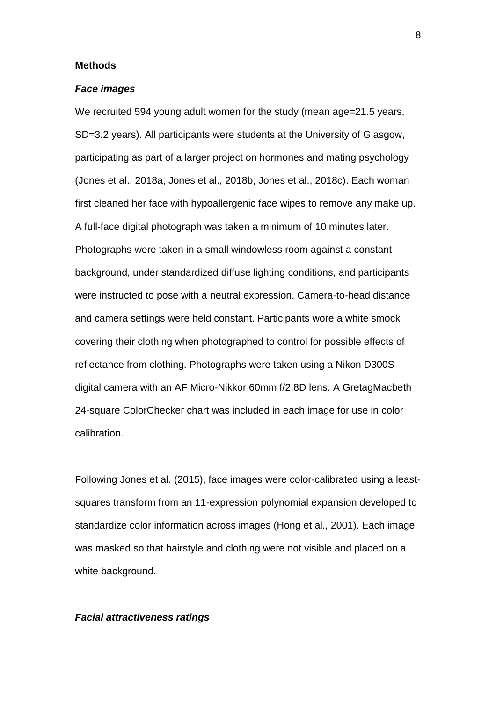#### **Methods**

#### *Face images*

We recruited 594 young adult women for the study (mean age=21.5 years, SD=3.2 years). All participants were students at the University of Glasgow, participating as part of a larger project on hormones and mating psychology (Jones et al., 2018a; Jones et al., 2018b; Jones et al., 2018c). Each woman first cleaned her face with hypoallergenic face wipes to remove any make up. A full-face digital photograph was taken a minimum of 10 minutes later. Photographs were taken in a small windowless room against a constant background, under standardized diffuse lighting conditions, and participants were instructed to pose with a neutral expression. Camera-to-head distance and camera settings were held constant. Participants wore a white smock covering their clothing when photographed to control for possible effects of reflectance from clothing. Photographs were taken using a Nikon D300S digital camera with an AF Micro-Nikkor 60mm f/2.8D lens. A GretagMacbeth 24-square ColorChecker chart was included in each image for use in color calibration.

Following Jones et al. (2015), face images were color-calibrated using a leastsquares transform from an 11-expression polynomial expansion developed to standardize color information across images (Hong et al., 2001). Each image was masked so that hairstyle and clothing were not visible and placed on a white background.

#### *Facial attractiveness ratings*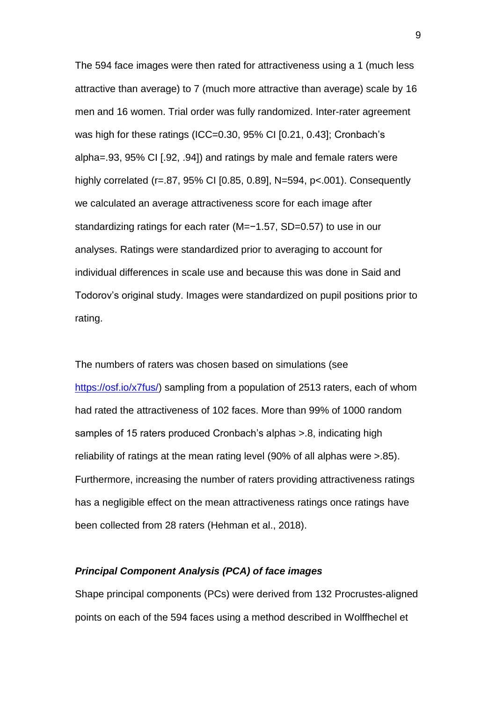The 594 face images were then rated for attractiveness using a 1 (much less attractive than average) to 7 (much more attractive than average) scale by 16 men and 16 women. Trial order was fully randomized. Inter-rater agreement was high for these ratings (ICC=0.30, 95% CI [0.21, 0.43]; Cronbach's alpha=.93, 95% CI [.92, .94]) and ratings by male and female raters were highly correlated (r=.87, 95% CI [0.85, 0.89], N=594, p<.001). Consequently we calculated an average attractiveness score for each image after standardizing ratings for each rater (M=−1.57, SD=0.57) to use in our analyses. Ratings were standardized prior to averaging to account for individual differences in scale use and because this was done in Said and Todorov's original study. Images were standardized on pupil positions prior to rating.

The numbers of raters was chosen based on simulations (see [https://osf.io/x7fus/\)](https://osf.io/x7fus/) sampling from a population of 2513 raters, each of whom had rated the attractiveness of 102 faces. More than 99% of 1000 random samples of 15 raters produced Cronbach's alphas >.8, indicating high reliability of ratings at the mean rating level (90% of all alphas were >.85). Furthermore, increasing the number of raters providing attractiveness ratings has a negligible effect on the mean attractiveness ratings once ratings have been collected from 28 raters (Hehman et al., 2018).

# *Principal Component Analysis (PCA) of face images*

Shape principal components (PCs) were derived from 132 Procrustes-aligned points on each of the 594 faces using a method described in Wolffhechel et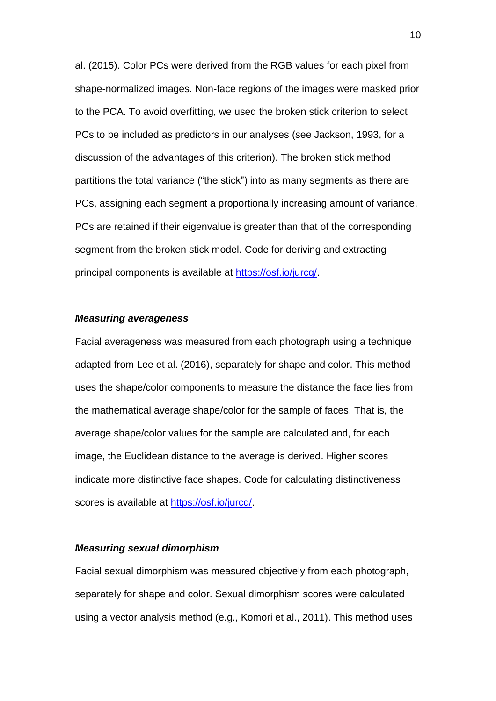al. (2015). Color PCs were derived from the RGB values for each pixel from shape-normalized images. Non-face regions of the images were masked prior to the PCA. To avoid overfitting, we used the broken stick criterion to select PCs to be included as predictors in our analyses (see Jackson, 1993, for a discussion of the advantages of this criterion). The broken stick method partitions the total variance ("the stick") into as many segments as there are PCs, assigning each segment a proportionally increasing amount of variance. PCs are retained if their eigenvalue is greater than that of the corresponding segment from the broken stick model. Code for deriving and extracting principal components is available at [https://osf.io/jurcq/.](https://osf.io/jurcq/)

#### *Measuring averageness*

Facial averageness was measured from each photograph using a technique adapted from Lee et al. (2016), separately for shape and color. This method uses the shape/color components to measure the distance the face lies from the mathematical average shape/color for the sample of faces. That is, the average shape/color values for the sample are calculated and, for each image, the Euclidean distance to the average is derived. Higher scores indicate more distinctive face shapes. Code for calculating distinctiveness scores is available at [https://osf.io/jurcq/.](https://osf.io/jurcq/)

#### *Measuring sexual dimorphism*

Facial sexual dimorphism was measured objectively from each photograph, separately for shape and color. Sexual dimorphism scores were calculated using a vector analysis method (e.g., Komori et al., 2011). This method uses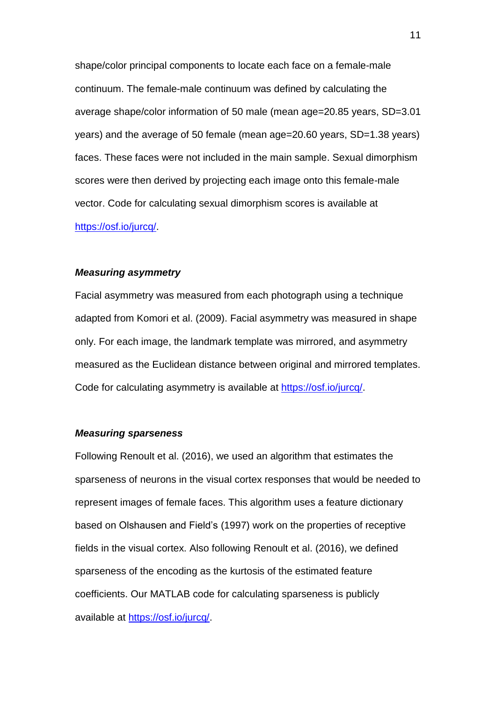shape/color principal components to locate each face on a female-male continuum. The female-male continuum was defined by calculating the average shape/color information of 50 male (mean age=20.85 years, SD=3.01 years) and the average of 50 female (mean age=20.60 years, SD=1.38 years) faces. These faces were not included in the main sample. Sexual dimorphism scores were then derived by projecting each image onto this female-male vector. Code for calculating sexual dimorphism scores is available at [https://osf.io/jurcq/.](https://osf.io/jurcq/)

#### *Measuring asymmetry*

Facial asymmetry was measured from each photograph using a technique adapted from Komori et al. (2009). Facial asymmetry was measured in shape only. For each image, the landmark template was mirrored, and asymmetry measured as the Euclidean distance between original and mirrored templates. Code for calculating asymmetry is available at [https://osf.io/jurcq/.](https://osf.io/jurcq/)

# *Measuring sparseness*

Following Renoult et al. (2016), we used an algorithm that estimates the sparseness of neurons in the visual cortex responses that would be needed to represent images of female faces. This algorithm uses a feature dictionary based on Olshausen and Field's (1997) work on the properties of receptive fields in the visual cortex. Also following Renoult et al. (2016), we defined sparseness of the encoding as the kurtosis of the estimated feature coefficients. Our MATLAB code for calculating sparseness is publicly available at [https://osf.io/jurcq/.](https://osf.io/jurcq/)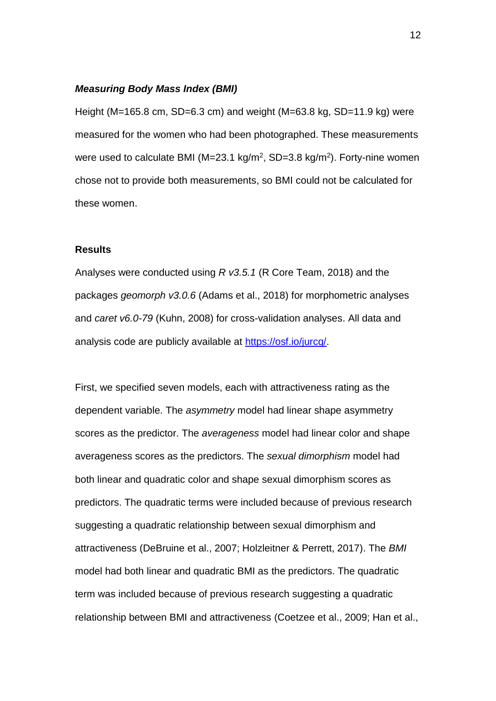# *Measuring Body Mass Index (BMI)*

Height (M=165.8 cm, SD=6.3 cm) and weight (M=63.8 kg, SD=11.9 kg) were measured for the women who had been photographed. These measurements were used to calculate BMI (M=23.1 kg/m<sup>2</sup>, SD=3.8 kg/m<sup>2</sup>). Forty-nine women chose not to provide both measurements, so BMI could not be calculated for these women.

# **Results**

Analyses were conducted using *R v3.5.1* (R Core Team, 2018) and the packages *geomorph v3.0.6* (Adams et al., 2018) for morphometric analyses and *caret v6.0-79* (Kuhn, 2008) for cross-validation analyses. All data and analysis code are publicly available at [https://osf.io/jurcq/.](https://osf.io/jurcq/)

First, we specified seven models, each with attractiveness rating as the dependent variable. The *asymmetry* model had linear shape asymmetry scores as the predictor. The *averageness* model had linear color and shape averageness scores as the predictors. The *sexual dimorphism* model had both linear and quadratic color and shape sexual dimorphism scores as predictors. The quadratic terms were included because of previous research suggesting a quadratic relationship between sexual dimorphism and attractiveness (DeBruine et al., 2007; Holzleitner & Perrett, 2017). The *BMI* model had both linear and quadratic BMI as the predictors. The quadratic term was included because of previous research suggesting a quadratic relationship between BMI and attractiveness (Coetzee et al., 2009; Han et al.,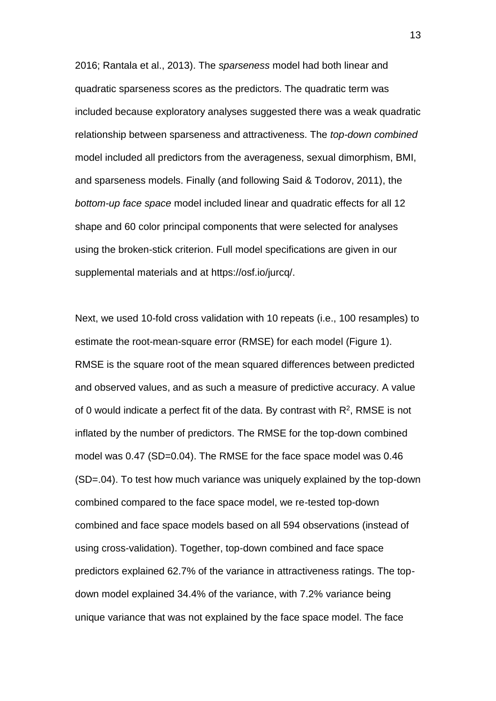2016; Rantala et al., 2013). The *sparseness* model had both linear and quadratic sparseness scores as the predictors. The quadratic term was included because exploratory analyses suggested there was a weak quadratic relationship between sparseness and attractiveness. The *top-down combined* model included all predictors from the averageness, sexual dimorphism, BMI, and sparseness models. Finally (and following Said & Todorov, 2011), the *bottom-up face space* model included linear and quadratic effects for all 12 shape and 60 color principal components that were selected for analyses using the broken-stick criterion. Full model specifications are given in our supplemental materials and at https://osf.io/jurcq/.

Next, we used 10-fold cross validation with 10 repeats (i.e., 100 resamples) to estimate the root-mean-square error (RMSE) for each model (Figure 1). RMSE is the square root of the mean squared differences between predicted and observed values, and as such a measure of predictive accuracy. A value of 0 would indicate a perfect fit of the data. By contrast with  $R^2$ , RMSE is not inflated by the number of predictors. The RMSE for the top-down combined model was 0.47 (SD=0.04). The RMSE for the face space model was 0.46 (SD=.04). To test how much variance was uniquely explained by the top-down combined compared to the face space model, we re-tested top-down combined and face space models based on all 594 observations (instead of using cross-validation). Together, top-down combined and face space predictors explained 62.7% of the variance in attractiveness ratings. The topdown model explained 34.4% of the variance, with 7.2% variance being unique variance that was not explained by the face space model. The face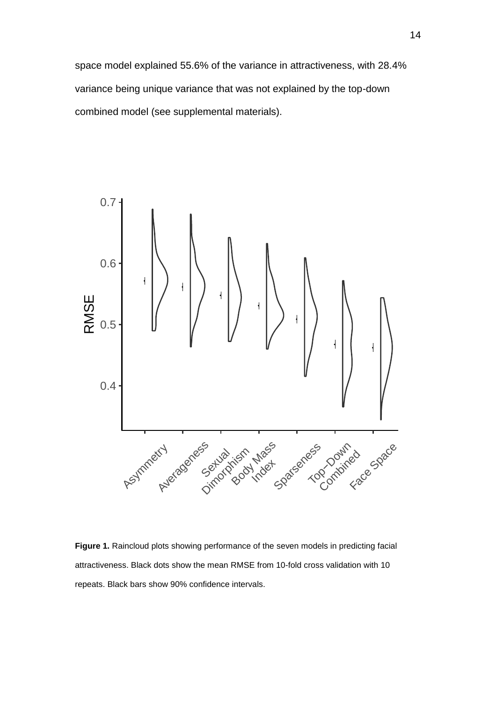space model explained 55.6% of the variance in attractiveness, with 28.4% variance being unique variance that was not explained by the top-down combined model (see supplemental materials).



**Figure 1.** Raincloud plots showing performance of the seven models in predicting facial attractiveness. Black dots show the mean RMSE from 10-fold cross validation with 10 repeats. Black bars show 90% confidence intervals.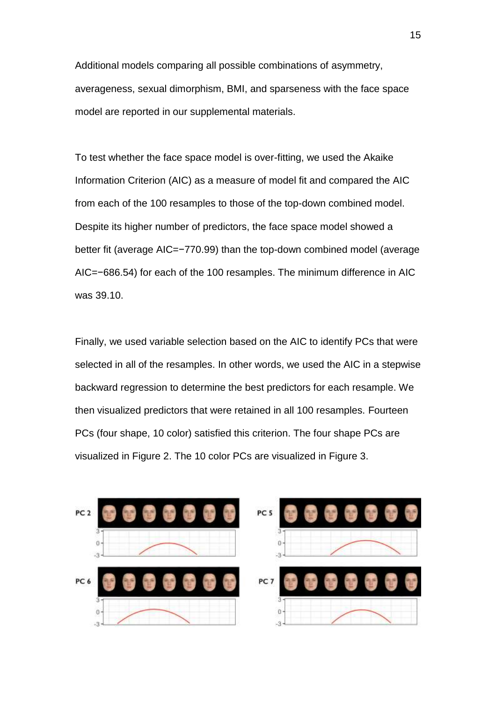Additional models comparing all possible combinations of asymmetry, averageness, sexual dimorphism, BMI, and sparseness with the face space model are reported in our supplemental materials.

To test whether the face space model is over-fitting, we used the Akaike Information Criterion (AIC) as a measure of model fit and compared the AIC from each of the 100 resamples to those of the top-down combined model. Despite its higher number of predictors, the face space model showed a better fit (average AIC=−770.99) than the top-down combined model (average AIC=−686.54) for each of the 100 resamples. The minimum difference in AIC was 39.10.

Finally, we used variable selection based on the AIC to identify PCs that were selected in all of the resamples. In other words, we used the AIC in a stepwise backward regression to determine the best predictors for each resample. We then visualized predictors that were retained in all 100 resamples. Fourteen PCs (four shape, 10 color) satisfied this criterion. The four shape PCs are visualized in Figure 2. The 10 color PCs are visualized in Figure 3.

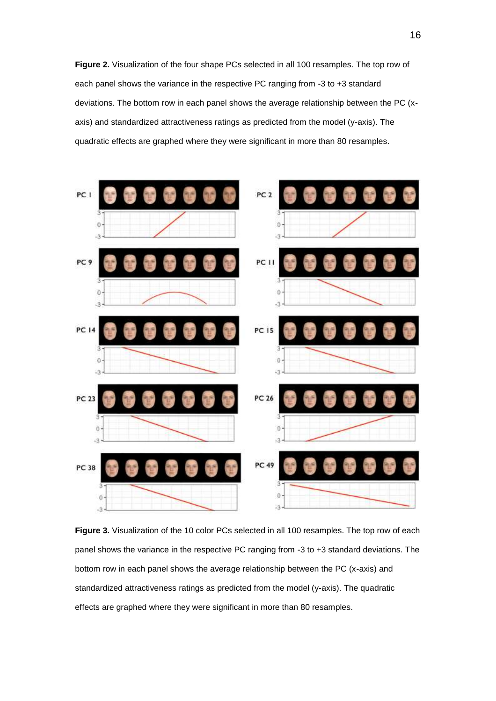**Figure 2.** Visualization of the four shape PCs selected in all 100 resamples. The top row of each panel shows the variance in the respective PC ranging from -3 to +3 standard deviations. The bottom row in each panel shows the average relationship between the PC (xaxis) and standardized attractiveness ratings as predicted from the model (y-axis). The quadratic effects are graphed where they were significant in more than 80 resamples.



**Figure 3.** Visualization of the 10 color PCs selected in all 100 resamples. The top row of each panel shows the variance in the respective PC ranging from -3 to +3 standard deviations. The bottom row in each panel shows the average relationship between the PC (x-axis) and standardized attractiveness ratings as predicted from the model (y-axis). The quadratic effects are graphed where they were significant in more than 80 resamples.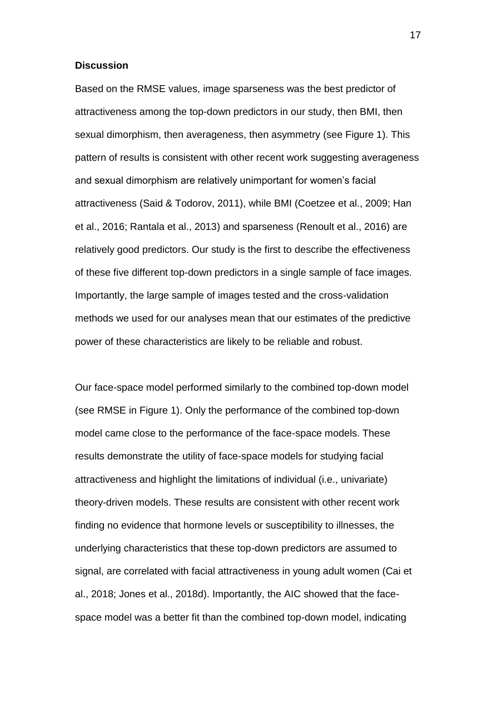#### **Discussion**

Based on the RMSE values, image sparseness was the best predictor of attractiveness among the top-down predictors in our study, then BMI, then sexual dimorphism, then averageness, then asymmetry (see Figure 1). This pattern of results is consistent with other recent work suggesting averageness and sexual dimorphism are relatively unimportant for women's facial attractiveness (Said & Todorov, 2011), while BMI (Coetzee et al., 2009; Han et al., 2016; Rantala et al., 2013) and sparseness (Renoult et al., 2016) are relatively good predictors. Our study is the first to describe the effectiveness of these five different top-down predictors in a single sample of face images. Importantly, the large sample of images tested and the cross-validation methods we used for our analyses mean that our estimates of the predictive power of these characteristics are likely to be reliable and robust.

Our face-space model performed similarly to the combined top-down model (see RMSE in Figure 1). Only the performance of the combined top-down model came close to the performance of the face-space models. These results demonstrate the utility of face-space models for studying facial attractiveness and highlight the limitations of individual (i.e., univariate) theory-driven models. These results are consistent with other recent work finding no evidence that hormone levels or susceptibility to illnesses, the underlying characteristics that these top-down predictors are assumed to signal, are correlated with facial attractiveness in young adult women (Cai et al., 2018; Jones et al., 2018d). Importantly, the AIC showed that the facespace model was a better fit than the combined top-down model, indicating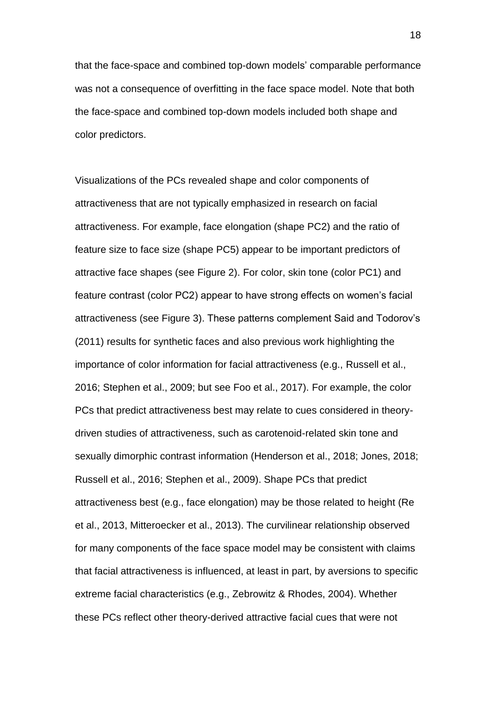that the face-space and combined top-down models' comparable performance was not a consequence of overfitting in the face space model. Note that both the face-space and combined top-down models included both shape and color predictors.

Visualizations of the PCs revealed shape and color components of attractiveness that are not typically emphasized in research on facial attractiveness. For example, face elongation (shape PC2) and the ratio of feature size to face size (shape PC5) appear to be important predictors of attractive face shapes (see Figure 2). For color, skin tone (color PC1) and feature contrast (color PC2) appear to have strong effects on women's facial attractiveness (see Figure 3). These patterns complement Said and Todorov's (2011) results for synthetic faces and also previous work highlighting the importance of color information for facial attractiveness (e.g., Russell et al., 2016; Stephen et al., 2009; but see Foo et al., 2017). For example, the color PCs that predict attractiveness best may relate to cues considered in theorydriven studies of attractiveness, such as carotenoid-related skin tone and sexually dimorphic contrast information (Henderson et al., 2018; Jones, 2018; Russell et al., 2016; Stephen et al., 2009). Shape PCs that predict attractiveness best (e.g., face elongation) may be those related to height (Re et al., 2013, Mitteroecker et al., 2013). The curvilinear relationship observed for many components of the face space model may be consistent with claims that facial attractiveness is influenced, at least in part, by aversions to specific extreme facial characteristics (e.g., Zebrowitz & Rhodes, 2004). Whether these PCs reflect other theory-derived attractive facial cues that were not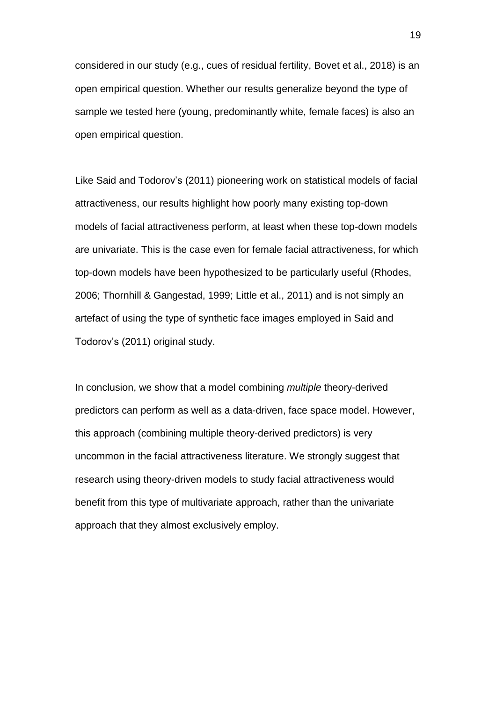considered in our study (e.g., cues of residual fertility, Bovet et al., 2018) is an open empirical question. Whether our results generalize beyond the type of sample we tested here (young, predominantly white, female faces) is also an open empirical question.

Like Said and Todorov's (2011) pioneering work on statistical models of facial attractiveness, our results highlight how poorly many existing top-down models of facial attractiveness perform, at least when these top-down models are univariate. This is the case even for female facial attractiveness, for which top-down models have been hypothesized to be particularly useful (Rhodes, 2006; Thornhill & Gangestad, 1999; Little et al., 2011) and is not simply an artefact of using the type of synthetic face images employed in Said and Todorov's (2011) original study.

In conclusion, we show that a model combining *multiple* theory-derived predictors can perform as well as a data-driven, face space model. However, this approach (combining multiple theory-derived predictors) is very uncommon in the facial attractiveness literature. We strongly suggest that research using theory-driven models to study facial attractiveness would benefit from this type of multivariate approach, rather than the univariate approach that they almost exclusively employ.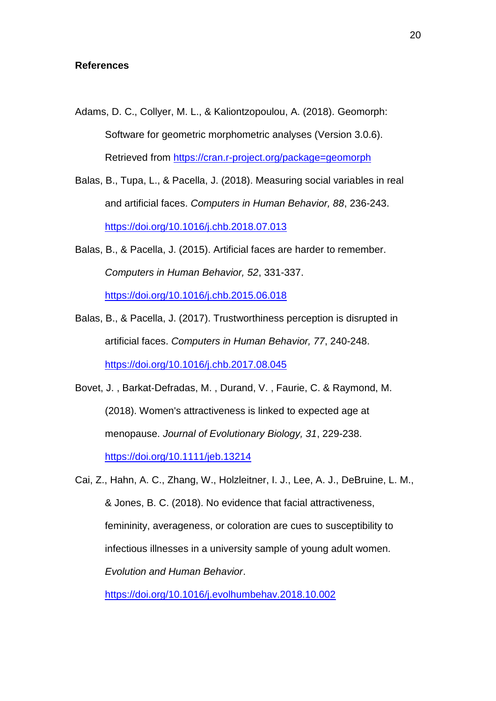#### **References**

- Adams, D. C., Collyer, M. L., & Kaliontzopoulou, A. (2018). Geomorph: Software for geometric morphometric analyses (Version 3.0.6). Retrieved from<https://cran.r-project.org/package=geomorph>
- Balas, B., Tupa, L., & Pacella, J. (2018). Measuring social variables in real and artificial faces. *Computers in Human Behavior, 88*, 236-243. <https://doi.org/10.1016/j.chb.2018.07.013>
- Balas, B., & Pacella, J. (2015). Artificial faces are harder to remember. *Computers in Human Behavior, 52*, 331-337. <https://doi.org/10.1016/j.chb.2015.06.018>
- Balas, B., & Pacella, J. (2017). Trustworthiness perception is disrupted in artificial faces. *Computers in Human Behavior, 77*, 240-248. <https://doi.org/10.1016/j.chb.2017.08.045>
- Bovet, J. , Barkat‐Defradas, M. , Durand, V. , Faurie, C. & Raymond, M. (2018). Women's attractiveness is linked to expected age at menopause. *Journal of Evolutionary Biology, 31*, 229-238. <https://doi.org/10.1111/jeb.13214>

Cai, Z., Hahn, A. C., Zhang, W., Holzleitner, I. J., Lee, A. J., DeBruine, L. M., & Jones, B. C. (2018). No evidence that facial attractiveness, femininity, averageness, or coloration are cues to susceptibility to infectious illnesses in a university sample of young adult women. *Evolution and Human Behavior*.

<https://doi.org/10.1016/j.evolhumbehav.2018.10.002>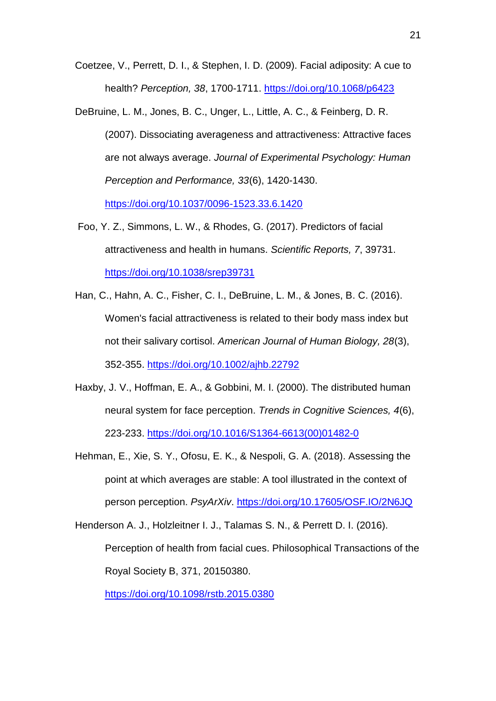Coetzee, V., Perrett, D. I., & Stephen, I. D. (2009). Facial adiposity: A cue to health? *Perception, 38*, 1700-1711.<https://doi.org/10.1068/p6423>

DeBruine, L. M., Jones, B. C., Unger, L., Little, A. C., & Feinberg, D. R. (2007). Dissociating averageness and attractiveness: Attractive faces are not always average. *Journal of Experimental Psychology: Human Perception and Performance, 33*(6), 1420-1430.

<https://doi.org/10.1037/0096-1523.33.6.1420>

- Foo, Y. Z., Simmons, L. W., & Rhodes, G. (2017). Predictors of facial attractiveness and health in humans. *Scientific Reports, 7*, 39731. <https://doi.org/10.1038/srep39731>
- Han, C., Hahn, A. C., Fisher, C. I., DeBruine, L. M., & Jones, B. C. (2016). Women's facial attractiveness is related to their body mass index but not their salivary cortisol. *American Journal of Human Biology, 28*(3), 352-355.<https://doi.org/10.1002/ajhb.22792>
- Haxby, J. V., Hoffman, E. A., & Gobbini, M. I. (2000). The distributed human neural system for face perception. *Trends in Cognitive Sciences, 4*(6), 223-233. [https://doi.org/10.1016/S1364-6613\(00\)01482-0](https://doi.org/10.1016/S1364-6613(00)01482-0)
- Hehman, E., Xie, S. Y., Ofosu, E. K., & Nespoli, G. A. (2018). Assessing the point at which averages are stable: A tool illustrated in the context of person perception. *PsyArXiv*.<https://doi.org/10.17605/OSF.IO/2N6JQ>
- Henderson A. J., Holzleitner I. J., Talamas S. N., & Perrett D. I. (2016). Perception of health from facial cues. Philosophical Transactions of the Royal Society B, 371, 20150380.

<https://doi.org/10.1098/rstb.2015.0380>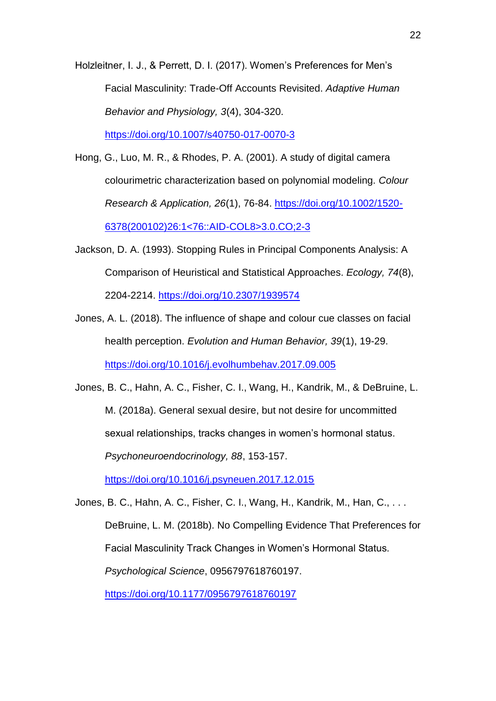Holzleitner, I. J., & Perrett, D. I. (2017). Women's Preferences for Men's Facial Masculinity: Trade-Off Accounts Revisited. *Adaptive Human Behavior and Physiology, 3*(4), 304-320. <https://doi.org/10.1007/s40750-017-0070-3>

Hong, G., Luo, M. R., & Rhodes, P. A. (2001). A study of digital camera colourimetric characterization based on polynomial modeling. *Colour Research & Application, 26*(1), 76-84. [https://doi.org/10.1002/1520-](https://doi.org/10.1002/1520-6378(200102)26:1%3c76::AID-COL8%3e3.0.CO;2-3) [6378\(200102\)26:1<76::AID-COL8>3.0.CO;2-3](https://doi.org/10.1002/1520-6378(200102)26:1%3c76::AID-COL8%3e3.0.CO;2-3)

Jackson, D. A. (1993). Stopping Rules in Principal Components Analysis: A Comparison of Heuristical and Statistical Approaches. *Ecology, 74*(8), 2204-2214.<https://doi.org/10.2307/1939574>

Jones, A. L. (2018). The influence of shape and colour cue classes on facial health perception. *Evolution and Human Behavior, 39*(1), 19-29. <https://doi.org/10.1016/j.evolhumbehav.2017.09.005>

Jones, B. C., Hahn, A. C., Fisher, C. I., Wang, H., Kandrik, M., & DeBruine, L. M. (2018a). General sexual desire, but not desire for uncommitted sexual relationships, tracks changes in women's hormonal status. *Psychoneuroendocrinology, 88*, 153-157.

<https://doi.org/10.1016/j.psyneuen.2017.12.015>

Jones, B. C., Hahn, A. C., Fisher, C. I., Wang, H., Kandrik, M., Han, C., . . . DeBruine, L. M. (2018b). No Compelling Evidence That Preferences for Facial Masculinity Track Changes in Women's Hormonal Status. *Psychological Science*, 0956797618760197. <https://doi.org/10.1177/0956797618760197>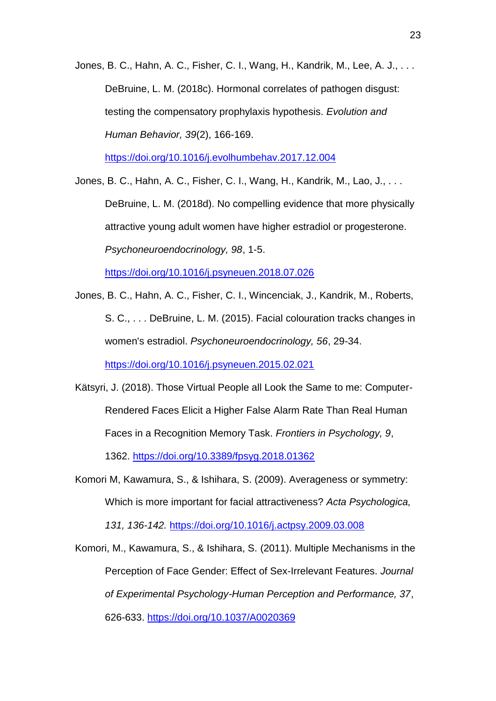Jones, B. C., Hahn, A. C., Fisher, C. I., Wang, H., Kandrik, M., Lee, A. J., . . . DeBruine, L. M. (2018c). Hormonal correlates of pathogen disgust: testing the compensatory prophylaxis hypothesis. *Evolution and Human Behavior, 39*(2), 166-169.

<https://doi.org/10.1016/j.evolhumbehav.2017.12.004>

Jones, B. C., Hahn, A. C., Fisher, C. I., Wang, H., Kandrik, M., Lao, J., . . . DeBruine, L. M. (2018d). No compelling evidence that more physically attractive young adult women have higher estradiol or progesterone. *Psychoneuroendocrinology, 98*, 1-5.

<https://doi.org/10.1016/j.psyneuen.2018.07.026>

Jones, B. C., Hahn, A. C., Fisher, C. I., Wincenciak, J., Kandrik, M., Roberts, S. C., . . . DeBruine, L. M. (2015). Facial colouration tracks changes in women's estradiol. *Psychoneuroendocrinology, 56*, 29-34.

<https://doi.org/10.1016/j.psyneuen.2015.02.021>

- Kätsyri, J. (2018). Those Virtual People all Look the Same to me: Computer-Rendered Faces Elicit a Higher False Alarm Rate Than Real Human Faces in a Recognition Memory Task. *Frontiers in Psychology, 9*, 1362. <https://doi.org/10.3389/fpsyg.2018.01362>
- Komori M, Kawamura, S., & Ishihara, S. (2009). Averageness or symmetry: Which is more important for facial attractiveness? *Acta Psychologica,*

*131, 136-142.* <https://doi.org/10.1016/j.actpsy.2009.03.008>

Komori, M., Kawamura, S., & Ishihara, S. (2011). Multiple Mechanisms in the Perception of Face Gender: Effect of Sex-Irrelevant Features. *Journal of Experimental Psychology-Human Perception and Performance, 37*, 626-633.<https://doi.org/10.1037/A0020369>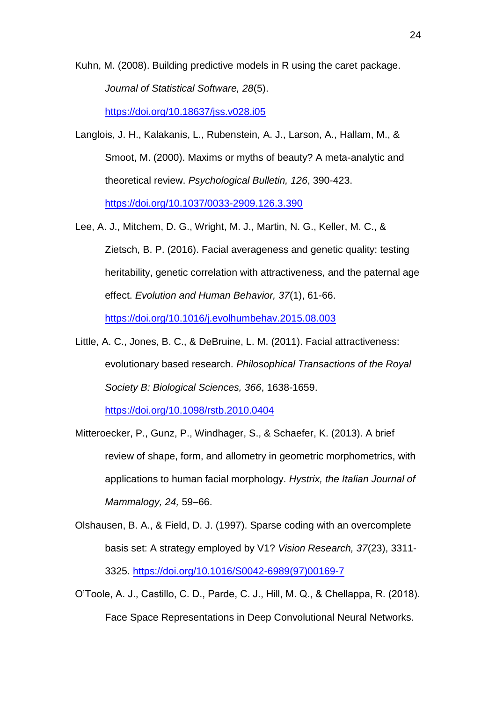Kuhn, M. (2008). Building predictive models in R using the caret package. *Journal of Statistical Software, 28*(5). <https://doi.org/10.18637/jss.v028.i05>

Langlois, J. H., Kalakanis, L., Rubenstein, A. J., Larson, A., Hallam, M., & Smoot, M. (2000). Maxims or myths of beauty? A meta-analytic and theoretical review. *Psychological Bulletin, 126*, 390-423.

<https://doi.org/10.1037/0033-2909.126.3.390>

- Lee, A. J., Mitchem, D. G., Wright, M. J., Martin, N. G., Keller, M. C., & Zietsch, B. P. (2016). Facial averageness and genetic quality: testing heritability, genetic correlation with attractiveness, and the paternal age effect. *Evolution and Human Behavior, 37*(1), 61-66. <https://doi.org/10.1016/j.evolhumbehav.2015.08.003>
- Little, A. C., Jones, B. C., & DeBruine, L. M. (2011). Facial attractiveness: evolutionary based research. *Philosophical Transactions of the Royal Society B: Biological Sciences, 366*, 1638-1659.

<https://doi.org/10.1098/rstb.2010.0404>

- Mitteroecker, P., Gunz, P., Windhager, S., & Schaefer, K. (2013). A brief review of shape, form, and allometry in geometric morphometrics, with applications to human facial morphology. *Hystrix, the Italian Journal of Mammalogy, 24,* 59–66.
- Olshausen, B. A., & Field, D. J. (1997). Sparse coding with an overcomplete basis set: A strategy employed by V1? *Vision Research, 37*(23), 3311- 3325. [https://doi.org/10.1016/S0042-6989\(97\)00169-7](https://doi.org/10.1016/S0042-6989(97)00169-7)
- O'Toole, A. J., Castillo, C. D., Parde, C. J., Hill, M. Q., & Chellappa, R. (2018). Face Space Representations in Deep Convolutional Neural Networks.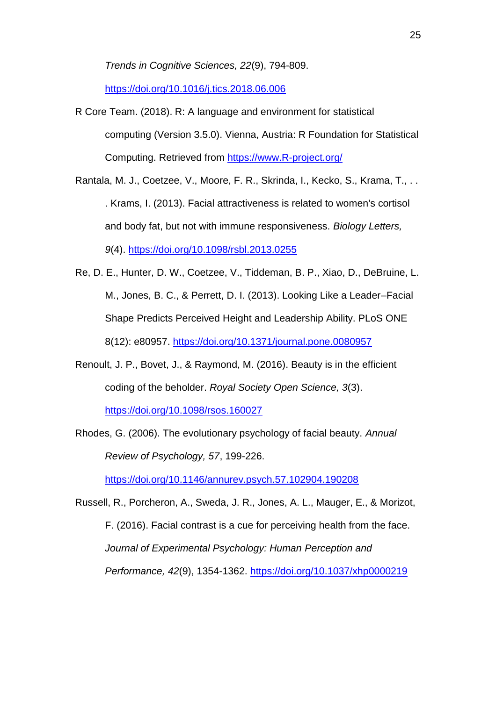*Trends in Cognitive Sciences, 22*(9), 794-809.

<https://doi.org/10.1016/j.tics.2018.06.006>

R Core Team. (2018). R: A language and environment for statistical computing (Version 3.5.0). Vienna, Austria: R Foundation for Statistical Computing. Retrieved from [https://www.R-project.org/](https://www.r-project.org/)

Rantala, M. J., Coetzee, V., Moore, F. R., Skrinda, I., Kecko, S., Krama, T., . . . Krams, I. (2013). Facial attractiveness is related to women's cortisol and body fat, but not with immune responsiveness. *Biology Letters, 9*(4).<https://doi.org/10.1098/rsbl.2013.0255>

- Re, D. E., Hunter, D. W., Coetzee, V., Tiddeman, B. P., Xiao, D., DeBruine, L. M., Jones, B. C., & Perrett, D. I. (2013). Looking Like a Leader–Facial Shape Predicts Perceived Height and Leadership Ability. PLoS ONE 8(12): e80957.<https://doi.org/10.1371/journal.pone.0080957>
- Renoult, J. P., Bovet, J., & Raymond, M. (2016). Beauty is in the efficient coding of the beholder. *Royal Society Open Science, 3*(3). <https://doi.org/10.1098/rsos.160027>

Rhodes, G. (2006). The evolutionary psychology of facial beauty. *Annual Review of Psychology, 57*, 199-226.

<https://doi.org/10.1146/annurev.psych.57.102904.190208>

Russell, R., Porcheron, A., Sweda, J. R., Jones, A. L., Mauger, E., & Morizot, F. (2016). Facial contrast is a cue for perceiving health from the face. *Journal of Experimental Psychology: Human Perception and Performance, 42*(9), 1354-1362. <https://doi.org/10.1037/xhp0000219>